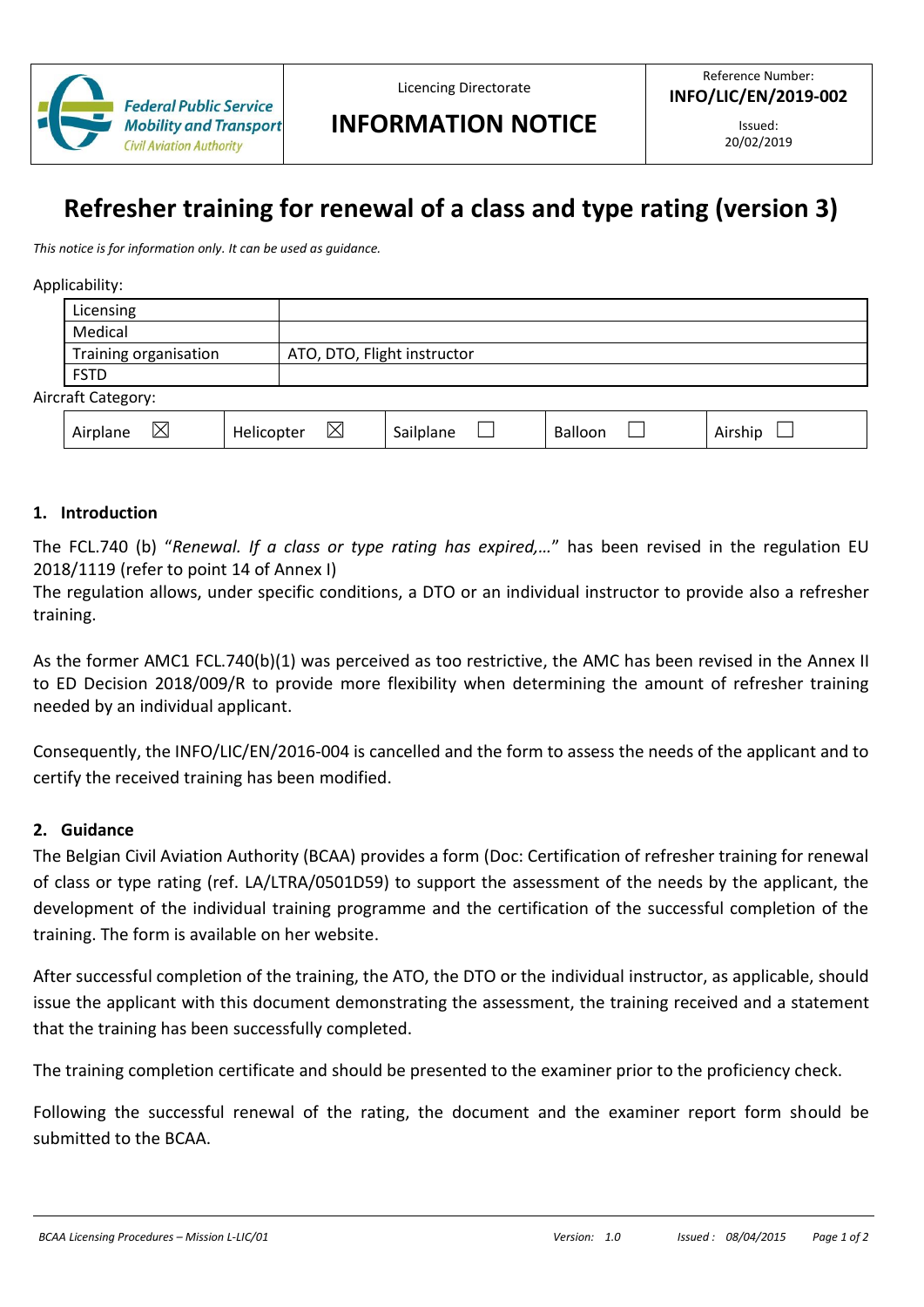

Licencing Directorate

# **INFORMATION NOTICE**

Issued: 20/02/2019

# **Refresher training for renewal of a class and type rating (version 3)**

*This notice is for information only. It can be used as guidance.*

Applicability:

| . .                |                       |                             |  |  |  |  |
|--------------------|-----------------------|-----------------------------|--|--|--|--|
|                    | Licensing             |                             |  |  |  |  |
|                    | Medical               |                             |  |  |  |  |
|                    | Training organisation | ATO, DTO, Flight instructor |  |  |  |  |
|                    | <b>FSTD</b>           |                             |  |  |  |  |
| Aircraft Category: |                       |                             |  |  |  |  |
|                    |                       |                             |  |  |  |  |

| <br>. .<br>$\lambda$<br>⌒<br>All<br>$117 - 117$<br><br>$\overline{ }$<br>$\overline{ }$ | .<br>пе<br>$\overline{\phantom{a}}$ |  | ND 6<br>mι |
|-----------------------------------------------------------------------------------------|-------------------------------------|--|------------|
|-----------------------------------------------------------------------------------------|-------------------------------------|--|------------|

#### **1. Introduction**

The FCL.740 (b) "*Renewal. If a class or type rating has expired,…*" has been revised in the regulation EU 2018/1119 (refer to point 14 of Annex I)

The regulation allows, under specific conditions, a DTO or an individual instructor to provide also a refresher training.

As the former AMC1 FCL.740(b)(1) was perceived as too restrictive, the AMC has been revised in the Annex II to ED Decision 2018/009/R to provide more flexibility when determining the amount of refresher training needed by an individual applicant.

Consequently, the INFO/LIC/EN/2016-004 is cancelled and the form to assess the needs of the applicant and to certify the received training has been modified.

#### **2. Guidance**

The Belgian Civil Aviation Authority (BCAA) provides a form (Doc: Certification of refresher training for renewal of class or type rating (ref. LA/LTRA/0501D59) to support the assessment of the needs by the applicant, the development of the individual training programme and the certification of the successful completion of the training. The form is available on her website.

After successful completion of the training, the ATO, the DTO or the individual instructor, as applicable, should issue the applicant with this document demonstrating the assessment, the training received and a statement that the training has been successfully completed.

The training completion certificate and should be presented to the examiner prior to the proficiency check.

Following the successful renewal of the rating, the document and the examiner report form should be submitted to the BCAA.